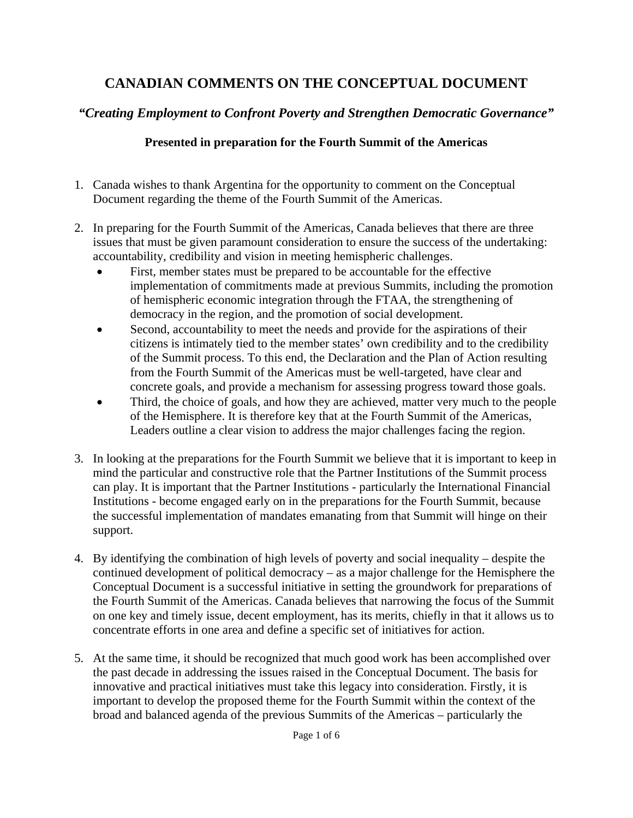## **CANADIAN COMMENTS ON THE CONCEPTUAL DOCUMENT**

## *"Creating Employment to Confront Poverty and Strengthen Democratic Governance"*

## **Presented in preparation for the Fourth Summit of the Americas**

- 1. Canada wishes to thank Argentina for the opportunity to comment on the Conceptual Document regarding the theme of the Fourth Summit of the Americas.
- 2. In preparing for the Fourth Summit of the Americas, Canada believes that there are three issues that must be given paramount consideration to ensure the success of the undertaking: accountability, credibility and vision in meeting hemispheric challenges.
	- First, member states must be prepared to be accountable for the effective implementation of commitments made at previous Summits, including the promotion of hemispheric economic integration through the FTAA, the strengthening of democracy in the region, and the promotion of social development.
	- Second, accountability to meet the needs and provide for the aspirations of their citizens is intimately tied to the member states' own credibility and to the credibility of the Summit process. To this end, the Declaration and the Plan of Action resulting from the Fourth Summit of the Americas must be well-targeted, have clear and concrete goals, and provide a mechanism for assessing progress toward those goals.
	- Third, the choice of goals, and how they are achieved, matter very much to the people of the Hemisphere. It is therefore key that at the Fourth Summit of the Americas, Leaders outline a clear vision to address the major challenges facing the region.
- 3. In looking at the preparations for the Fourth Summit we believe that it is important to keep in mind the particular and constructive role that the Partner Institutions of the Summit process can play. It is important that the Partner Institutions - particularly the International Financial Institutions - become engaged early on in the preparations for the Fourth Summit, because the successful implementation of mandates emanating from that Summit will hinge on their support.
- 4. By identifying the combination of high levels of poverty and social inequality despite the continued development of political democracy – as a major challenge for the Hemisphere the Conceptual Document is a successful initiative in setting the groundwork for preparations of the Fourth Summit of the Americas. Canada believes that narrowing the focus of the Summit on one key and timely issue, decent employment, has its merits, chiefly in that it allows us to concentrate efforts in one area and define a specific set of initiatives for action.
- 5. At the same time, it should be recognized that much good work has been accomplished over the past decade in addressing the issues raised in the Conceptual Document. The basis for innovative and practical initiatives must take this legacy into consideration. Firstly, it is important to develop the proposed theme for the Fourth Summit within the context of the broad and balanced agenda of the previous Summits of the Americas – particularly the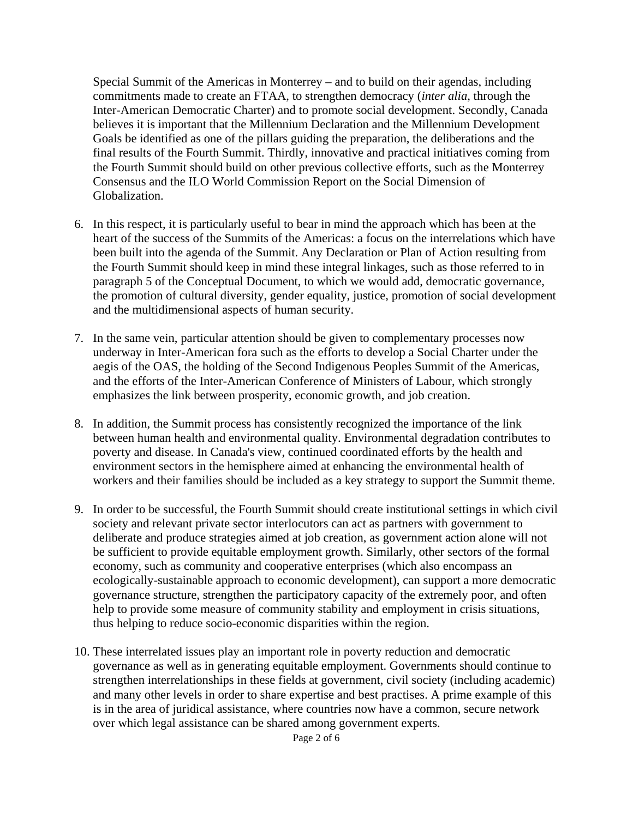Special Summit of the Americas in Monterrey – and to build on their agendas, including commitments made to create an FTAA, to strengthen democracy (*inter alia*, through the Inter-American Democratic Charter) and to promote social development. Secondly, Canada believes it is important that the Millennium Declaration and the Millennium Development Goals be identified as one of the pillars guiding the preparation, the deliberations and the final results of the Fourth Summit. Thirdly, innovative and practical initiatives coming from the Fourth Summit should build on other previous collective efforts, such as the Monterrey Consensus and the ILO World Commission Report on the Social Dimension of Globalization.

- 6. In this respect, it is particularly useful to bear in mind the approach which has been at the heart of the success of the Summits of the Americas: a focus on the interrelations which have been built into the agenda of the Summit. Any Declaration or Plan of Action resulting from the Fourth Summit should keep in mind these integral linkages, such as those referred to in paragraph 5 of the Conceptual Document, to which we would add, democratic governance, the promotion of cultural diversity, gender equality, justice, promotion of social development and the multidimensional aspects of human security.
- 7. In the same vein, particular attention should be given to complementary processes now underway in Inter-American fora such as the efforts to develop a Social Charter under the aegis of the OAS, the holding of the Second Indigenous Peoples Summit of the Americas, and the efforts of the Inter-American Conference of Ministers of Labour, which strongly emphasizes the link between prosperity, economic growth, and job creation.
- 8. In addition, the Summit process has consistently recognized the importance of the link between human health and environmental quality. Environmental degradation contributes to poverty and disease. In Canada's view, continued coordinated efforts by the health and environment sectors in the hemisphere aimed at enhancing the environmental health of workers and their families should be included as a key strategy to support the Summit theme.
- 9. In order to be successful, the Fourth Summit should create institutional settings in which civil society and relevant private sector interlocutors can act as partners with government to deliberate and produce strategies aimed at job creation, as government action alone will not be sufficient to provide equitable employment growth. Similarly, other sectors of the formal economy, such as community and cooperative enterprises (which also encompass an ecologically-sustainable approach to economic development), can support a more democratic governance structure, strengthen the participatory capacity of the extremely poor, and often help to provide some measure of community stability and employment in crisis situations, thus helping to reduce socio-economic disparities within the region.
- 10. These interrelated issues play an important role in poverty reduction and democratic governance as well as in generating equitable employment. Governments should continue to strengthen interrelationships in these fields at government, civil society (including academic) and many other levels in order to share expertise and best practises. A prime example of this is in the area of juridical assistance, where countries now have a common, secure network over which legal assistance can be shared among government experts.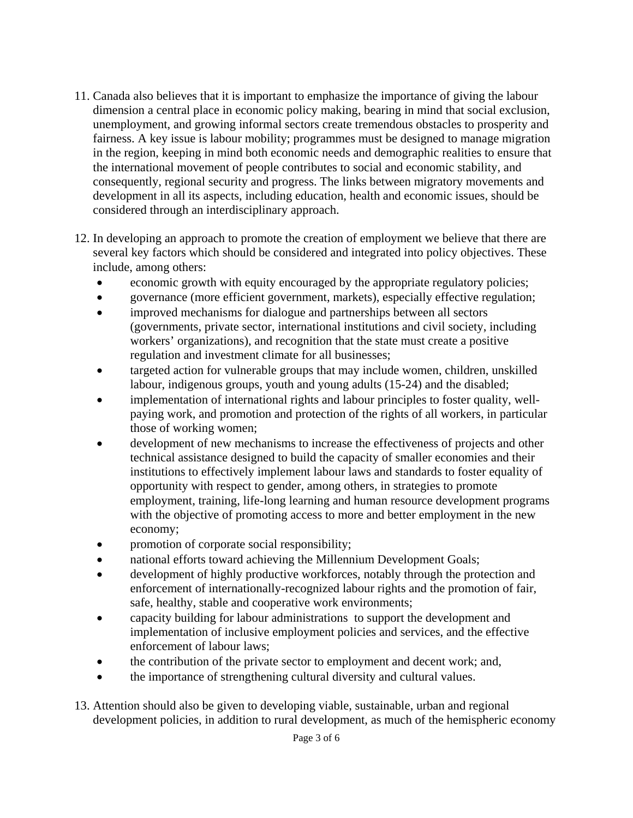- 11. Canada also believes that it is important to emphasize the importance of giving the labour dimension a central place in economic policy making, bearing in mind that social exclusion, unemployment, and growing informal sectors create tremendous obstacles to prosperity and fairness. A key issue is labour mobility; programmes must be designed to manage migration in the region, keeping in mind both economic needs and demographic realities to ensure that the international movement of people contributes to social and economic stability, and consequently, regional security and progress. The links between migratory movements and development in all its aspects, including education, health and economic issues, should be considered through an interdisciplinary approach.
- 12. In developing an approach to promote the creation of employment we believe that there are several key factors which should be considered and integrated into policy objectives. These include, among others:
	- economic growth with equity encouraged by the appropriate regulatory policies;
	- governance (more efficient government, markets), especially effective regulation;
	- improved mechanisms for dialogue and partnerships between all sectors (governments, private sector, international institutions and civil society, including workers' organizations), and recognition that the state must create a positive regulation and investment climate for all businesses;
	- targeted action for vulnerable groups that may include women, children, unskilled labour, indigenous groups, youth and young adults (15-24) and the disabled;
	- implementation of international rights and labour principles to foster quality, wellpaying work, and promotion and protection of the rights of all workers, in particular those of working women;
	- development of new mechanisms to increase the effectiveness of projects and other technical assistance designed to build the capacity of smaller economies and their institutions to effectively implement labour laws and standards to foster equality of opportunity with respect to gender, among others, in strategies to promote employment, training, life-long learning and human resource development programs with the objective of promoting access to more and better employment in the new economy;
	- promotion of corporate social responsibility;
	- national efforts toward achieving the Millennium Development Goals;
	- development of highly productive workforces, notably through the protection and enforcement of internationally-recognized labour rights and the promotion of fair, safe, healthy, stable and cooperative work environments;
	- capacity building for labour administrations to support the development and implementation of inclusive employment policies and services, and the effective enforcement of labour laws;
	- the contribution of the private sector to employment and decent work; and,
	- the importance of strengthening cultural diversity and cultural values.
- 13. Attention should also be given to developing viable, sustainable, urban and regional development policies, in addition to rural development, as much of the hemispheric economy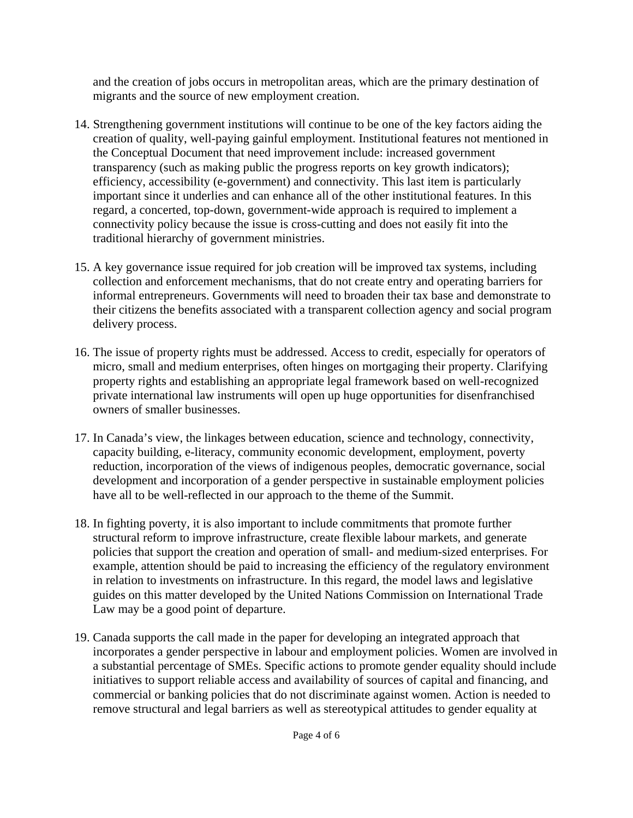and the creation of jobs occurs in metropolitan areas, which are the primary destination of migrants and the source of new employment creation.

- 14. Strengthening government institutions will continue to be one of the key factors aiding the creation of quality, well-paying gainful employment. Institutional features not mentioned in the Conceptual Document that need improvement include: increased government transparency (such as making public the progress reports on key growth indicators); efficiency, accessibility (e-government) and connectivity. This last item is particularly important since it underlies and can enhance all of the other institutional features. In this regard, a concerted, top-down, government-wide approach is required to implement a connectivity policy because the issue is cross-cutting and does not easily fit into the traditional hierarchy of government ministries.
- 15. A key governance issue required for job creation will be improved tax systems, including collection and enforcement mechanisms, that do not create entry and operating barriers for informal entrepreneurs. Governments will need to broaden their tax base and demonstrate to their citizens the benefits associated with a transparent collection agency and social program delivery process.
- 16. The issue of property rights must be addressed. Access to credit, especially for operators of micro, small and medium enterprises, often hinges on mortgaging their property. Clarifying property rights and establishing an appropriate legal framework based on well-recognized private international law instruments will open up huge opportunities for disenfranchised owners of smaller businesses.
- 17. In Canada's view, the linkages between education, science and technology, connectivity, capacity building, e-literacy, community economic development, employment, poverty reduction, incorporation of the views of indigenous peoples, democratic governance, social development and incorporation of a gender perspective in sustainable employment policies have all to be well-reflected in our approach to the theme of the Summit.
- 18. In fighting poverty, it is also important to include commitments that promote further structural reform to improve infrastructure, create flexible labour markets, and generate policies that support the creation and operation of small- and medium-sized enterprises. For example, attention should be paid to increasing the efficiency of the regulatory environment in relation to investments on infrastructure. In this regard, the model laws and legislative guides on this matter developed by the United Nations Commission on International Trade Law may be a good point of departure.
- 19. Canada supports the call made in the paper for developing an integrated approach that incorporates a gender perspective in labour and employment policies. Women are involved in a substantial percentage of SMEs. Specific actions to promote gender equality should include initiatives to support reliable access and availability of sources of capital and financing, and commercial or banking policies that do not discriminate against women. Action is needed to remove structural and legal barriers as well as stereotypical attitudes to gender equality at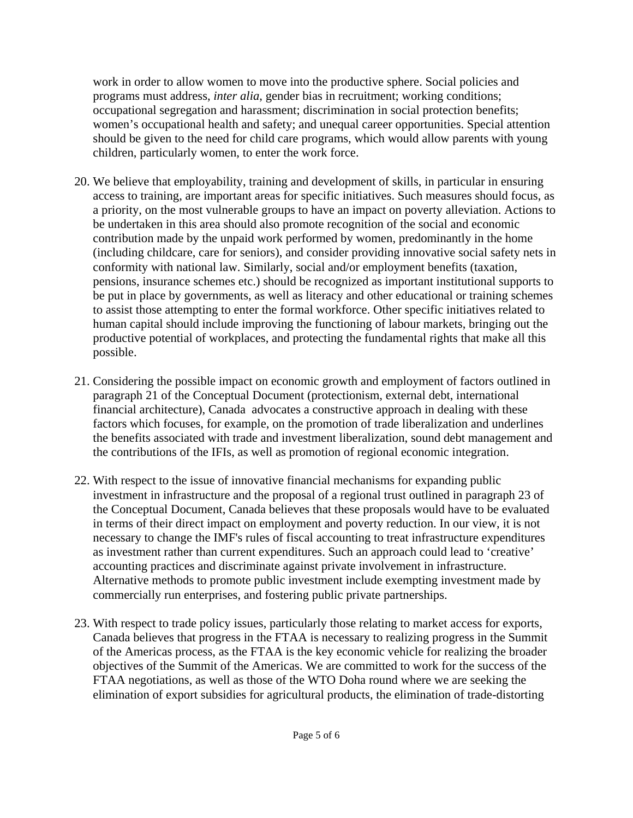work in order to allow women to move into the productive sphere. Social policies and programs must address, *inter alia*, gender bias in recruitment; working conditions; occupational segregation and harassment; discrimination in social protection benefits; women's occupational health and safety; and unequal career opportunities. Special attention should be given to the need for child care programs, which would allow parents with young children, particularly women, to enter the work force.

- 20. We believe that employability, training and development of skills, in particular in ensuring access to training, are important areas for specific initiatives. Such measures should focus, as a priority, on the most vulnerable groups to have an impact on poverty alleviation. Actions to be undertaken in this area should also promote recognition of the social and economic contribution made by the unpaid work performed by women, predominantly in the home (including childcare, care for seniors), and consider providing innovative social safety nets in conformity with national law. Similarly, social and/or employment benefits (taxation, pensions, insurance schemes etc.) should be recognized as important institutional supports to be put in place by governments, as well as literacy and other educational or training schemes to assist those attempting to enter the formal workforce. Other specific initiatives related to human capital should include improving the functioning of labour markets, bringing out the productive potential of workplaces, and protecting the fundamental rights that make all this possible.
- 21. Considering the possible impact on economic growth and employment of factors outlined in paragraph 21 of the Conceptual Document (protectionism, external debt, international financial architecture), Canada advocates a constructive approach in dealing with these factors which focuses, for example, on the promotion of trade liberalization and underlines the benefits associated with trade and investment liberalization, sound debt management and the contributions of the IFIs, as well as promotion of regional economic integration.
- 22. With respect to the issue of innovative financial mechanisms for expanding public investment in infrastructure and the proposal of a regional trust outlined in paragraph 23 of the Conceptual Document, Canada believes that these proposals would have to be evaluated in terms of their direct impact on employment and poverty reduction. In our view, it is not necessary to change the IMF's rules of fiscal accounting to treat infrastructure expenditures as investment rather than current expenditures. Such an approach could lead to 'creative' accounting practices and discriminate against private involvement in infrastructure. Alternative methods to promote public investment include exempting investment made by commercially run enterprises, and fostering public private partnerships.
- 23. With respect to trade policy issues, particularly those relating to market access for exports, Canada believes that progress in the FTAA is necessary to realizing progress in the Summit of the Americas process, as the FTAA is the key economic vehicle for realizing the broader objectives of the Summit of the Americas. We are committed to work for the success of the FTAA negotiations, as well as those of the WTO Doha round where we are seeking the elimination of export subsidies for agricultural products, the elimination of trade-distorting